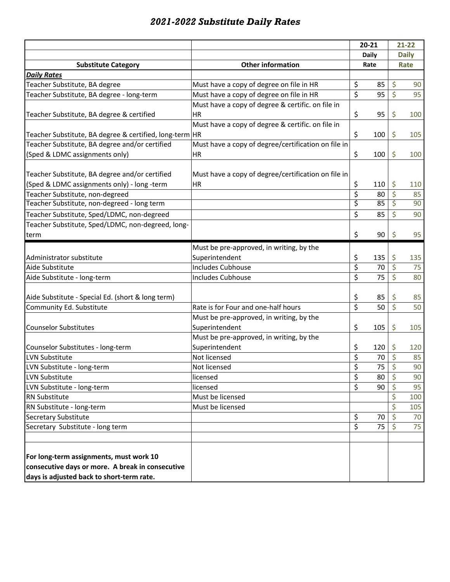## *2021-2022 Substitute Daily Rates*

|                                                         |                                                     |                         | $20 - 21$ | $21 - 22$               |     |
|---------------------------------------------------------|-----------------------------------------------------|-------------------------|-----------|-------------------------|-----|
|                                                         |                                                     | <b>Daily</b>            |           | <b>Daily</b>            |     |
| <b>Substitute Category</b>                              | <b>Other information</b>                            | Rate                    |           | Rate                    |     |
| <b>Daily Rates</b>                                      |                                                     |                         |           |                         |     |
| Teacher Substitute, BA degree                           | Must have a copy of degree on file in HR            | \$                      | 85        | \$                      | 90  |
| Teacher Substitute, BA degree - long-term               | Must have a copy of degree on file in HR            | \$                      | 95        | \$                      | 95  |
|                                                         | Must have a copy of degree & certific. on file in   |                         |           |                         |     |
| Teacher Substitute, BA degree & certified               | <b>HR</b>                                           | \$                      | 95        | \$                      | 100 |
|                                                         | Must have a copy of degree & certific. on file in   |                         |           |                         |     |
| Teacher Substitute, BA degree & certified, long-term HR |                                                     | \$                      | 100       | \$                      | 105 |
| Teacher Substitute, BA degree and/or certified          | Must have a copy of degree/certification on file in |                         |           |                         |     |
| (Sped & LDMC assignments only)                          | HR                                                  | \$                      | 100       | \$                      | 100 |
| Teacher Substitute, BA degree and/or certified          | Must have a copy of degree/certification on file in |                         |           |                         |     |
| (Sped & LDMC assignments only) - long -term             | <b>HR</b>                                           | \$                      | 110       | \$                      | 110 |
| Teacher Substitute, non-degreed                         |                                                     | \$                      | 80        | \$                      | 85  |
| Teacher Substitute, non-degreed - long term             |                                                     | \$                      | 85        | \$                      | 90  |
| Teacher Substitute, Sped/LDMC, non-degreed              |                                                     | \$                      | 85        | \$                      | 90  |
| Teacher Substitute, Sped/LDMC, non-degreed, long-       |                                                     |                         |           |                         |     |
| term                                                    |                                                     | \$                      | 90        | \$                      | 95  |
|                                                         |                                                     |                         |           |                         |     |
|                                                         | Must be pre-approved, in writing, by the            |                         |           |                         |     |
| Administrator substitute                                | Superintendent                                      | \$                      | 135       | \$                      | 135 |
| Aide Substitute                                         | <b>Includes Cubhouse</b>                            | \$                      | 70        | \$                      | 75  |
| Aide Substitute - long-term                             | <b>Includes Cubhouse</b>                            | \$                      | 75        | \$                      | 80  |
| Aide Substitute - Special Ed. (short & long term)       |                                                     | \$                      | 85        | \$                      | 85  |
| Community Ed. Substitute                                | Rate is for Four and one-half hours                 | $\overline{\mathsf{S}}$ | 50        | $\overline{\mathsf{S}}$ | 50  |
|                                                         | Must be pre-approved, in writing, by the            |                         |           |                         |     |
| <b>Counselor Substitutes</b>                            | Superintendent                                      | \$                      | 105       | \$                      | 105 |
|                                                         | Must be pre-approved, in writing, by the            |                         |           |                         |     |
| Counselor Substitutes - long-term                       | Superintendent                                      | \$                      | 120       | \$                      | 120 |
| <b>LVN Substitute</b>                                   | Not licensed                                        | \$                      | 70        | \$                      | 85  |
| LVN Substitute - long-term                              | Not licensed                                        | Ś                       | 75        | Ŕ                       | 90  |
| LVN Substitute                                          | licensed                                            | \$                      | 80        | \$                      | 90  |
| LVN Substitute - long-term                              | licensed                                            | \$                      | 90        | \$                      | 95  |
| RN Substitute                                           | Must be licensed                                    |                         |           | \$                      | 100 |
| RN Substitute - long-term                               | Must be licensed                                    |                         |           | \$                      | 105 |
| Secretary Substitute                                    |                                                     | \$                      | 70        | \$                      | 70  |
| Secretary Substitute - long term                        |                                                     | \$                      | 75        |                         | 75  |
|                                                         |                                                     |                         |           |                         |     |
| For long-term assignments, must work 10                 |                                                     |                         |           |                         |     |
| consecutive days or more. A break in consecutive        |                                                     |                         |           |                         |     |
| days is adjusted back to short-term rate.               |                                                     |                         |           |                         |     |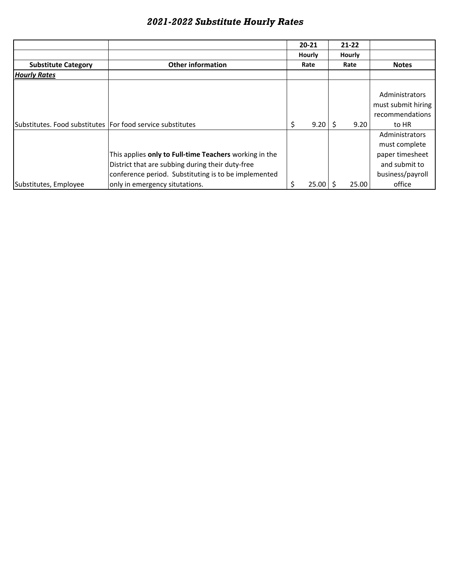|                                                            | <b>Other information</b><br>Rate                                                                                                                                   |    | $20 - 21$<br><b>Hourly</b> |      | $21 - 22$<br>Hourly |                                                                                         |
|------------------------------------------------------------|--------------------------------------------------------------------------------------------------------------------------------------------------------------------|----|----------------------------|------|---------------------|-----------------------------------------------------------------------------------------|
| <b>Substitute Category</b>                                 |                                                                                                                                                                    |    |                            | Rate |                     | <b>Notes</b>                                                                            |
| <b>Hourly Rates</b>                                        |                                                                                                                                                                    |    |                            |      |                     |                                                                                         |
| Substitutes. Food substitutes For food service substitutes |                                                                                                                                                                    | \$ | 9.20                       | Ś    | 9.20                | Administrators<br>must submit hiring<br>recommendations<br>to HR                        |
|                                                            | This applies only to Full-time Teachers working in the<br>District that are subbing during their duty-free<br>conference period. Substituting is to be implemented |    |                            |      |                     | Administrators<br>must complete<br>paper timesheet<br>and submit to<br>business/payroll |
| Substitutes, Employee                                      | only in emergency situtations.                                                                                                                                     | \$ | 25.00                      |      | 25.00               | office                                                                                  |

## *2021-2022 Substitute Hourly Rates*